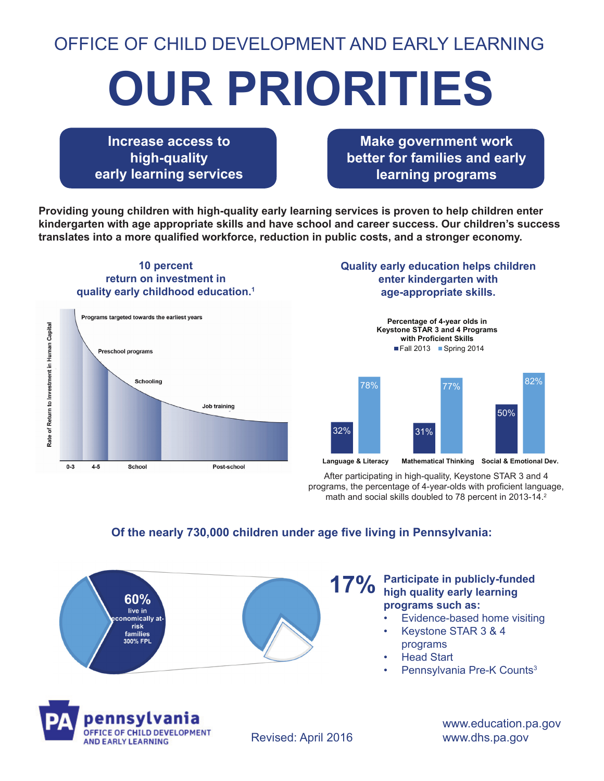# OFFICE OF CHILD DEVELOPMENT AND EARLY LEARNING

# **OUR PRIORITIES**

**Increase access to high-quality early learning services**

**Make government work better for families and early learning programs**

**Providing young children with high-quality early learning services is proven to help children enter kindergarten with age appropriate skills and have school and career success. Our children's success translates into a more qualified workforce, reduction in public costs, and a stronger economy.**

### **10 percent return on investment in quality early childhood education.1**



#### **Quality early education helps children enter kindergarten with age-appropriate skills.**



After participating in high-quality, Keystone STAR 3 and 4 programs, the percentage of 4-year-olds with proficient language, math and social skills doubled to 78 percent in 2013-14.<sup>2</sup>

### **Of the nearly 730,000 children under age five living in Pennsylvania:**



#### **Participate in publicly-funded 17%** Participate in publicly-fund<br>**17%** high quality early learning **programs such as:**

- Evidence-based home visiting
- Keystone STAR 3 & 4 programs
- **Head Start**
- Pennsylvania Pre-K Counts<sup>3</sup>



Revised: April 2016

www.education.pa.gov www.dhs.pa.gov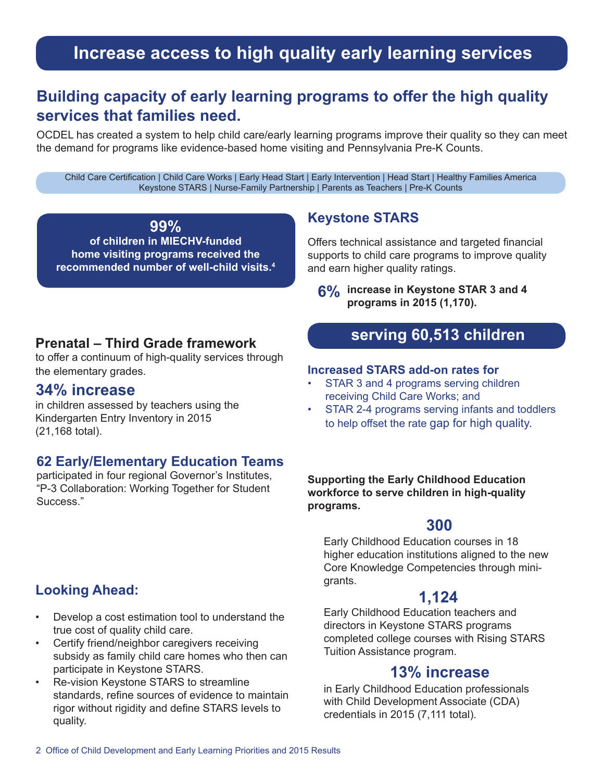# **Increase access to high quality early learning services**

# **Building capacity of early learning programs to offer the high quality services that families need.**

OCDEL has created a system to help child care/early learning programs improve their quality so they can meet the demand for programs like evidence-based home visiting and Pennsylvania Pre-K Counts.

Child Care Certification | Child Care Works | Early Head Start | Early Intervention | Head Start | Healthy Families America Keystone STARS | Nurse-Family Partnership | Parents as Teachers | Pre-K Counts

**99% of children in MIECHV-funded home visiting programs received the recommended number of well-child visits.4**

### **Keystone STARS**

Offers technical assistance and targeted financial supports to child care programs to improve quality and earn higher quality ratings.

**6% increase in Keystone STAR 3 and 4 programs in 2015 (1,170).**

### **Prenatal – Third Grade framework**

to offer a continuum of high-quality services through the elementary grades.

### **34% increase**

in children assessed by teachers using the Kindergarten Entry Inventory in 2015 (21,168 total).

### **62 Early/Elementary Education Teams**

participated in four regional Governor's Institutes, "P-3 Collaboration: Working Together for Student Success."

## **Looking Ahead:**

- Develop a cost estimation tool to understand the true cost of quality child care.
- Certify friend/neighbor caregivers receiving subsidy as family child care homes who then can participate in Keystone STARS.
- Re-vision Keystone STARS to streamline standards, refine sources of evidence to maintain rigor without rigidity and define STARS levels to quality.

# **serving 60,513 children**

#### **Increased STARS add-on rates for**

- STAR 3 and 4 programs serving children receiving Child Care Works; and
- STAR 2-4 programs serving infants and toddlers to help offset the rate gap for high quality.

**Supporting the Early Childhood Education workforce to serve children in high-quality programs.**

### **300**

Early Childhood Education courses in 18 higher education institutions aligned to the new Core Knowledge Competencies through minigrants.

### **1,124**

Early Childhood Education teachers and directors in Keystone STARS programs completed college courses with Rising STARS Tuition Assistance program.

### **13% increase**

in Early Childhood Education professionals with Child Development Associate (CDA) credentials in 2015 (7,111 total).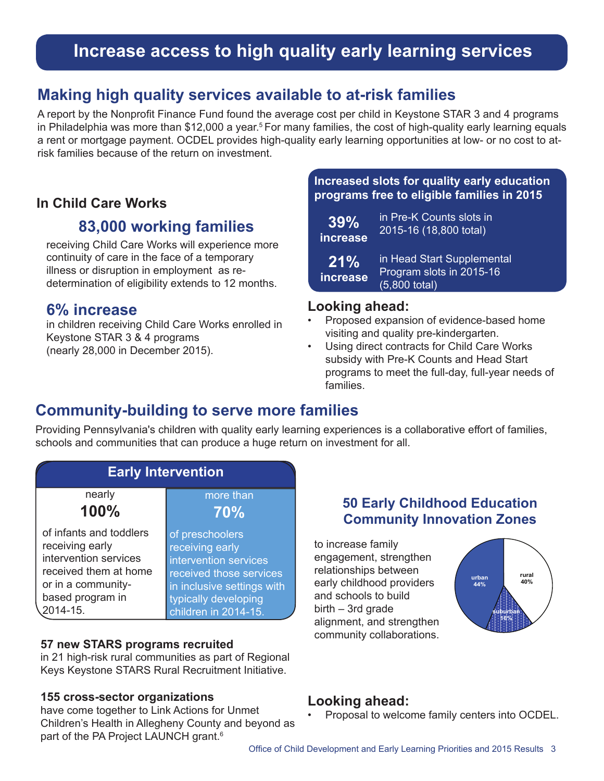# **Increase access to high quality early learning services**

# **Making high quality services available to at-risk families**

A report by the Nonprofit Finance Fund found the average cost per child in Keystone STAR 3 and 4 programs in Philadelphia was more than \$12,000 a year.<sup>5</sup> For many families, the cost of high-quality early learning equals a rent or mortgage payment. OCDEL provides high-quality early learning opportunities at low- or no cost to atrisk families because of the return on investment.

### **In Child Care Works**

# **83,000 working families**

receiving Child Care Works will experience more continuity of care in the face of a temporary illness or disruption in employment as redetermination of eligibility extends to 12 months.

## **6% increase**

in children receiving Child Care Works enrolled in Keystone STAR 3 & 4 programs (nearly 28,000 in December 2015).

### **Increased slots for quality early education programs free to eligible families in 2015**

| 39%             | in Pre-K Counts slots in                                                  |
|-----------------|---------------------------------------------------------------------------|
| increase        | 2015-16 (18,800 total)                                                    |
| 21%<br>increase | in Head Start Supplemental<br>Program slots in 2015-16<br>$(5,800$ total) |

### **Looking ahead:**

- Proposed expansion of evidence-based home visiting and quality pre-kindergarten.
- Using direct contracts for Child Care Works subsidy with Pre-K Counts and Head Start programs to meet the full-day, full-year needs of families.

# **Community-building to serve more families**

Providing Pennsylvania's children with quality early learning experiences is a collaborative effort of families, schools and communities that can produce a huge return on investment for all.



### **57 new STARS programs recruited**

in 21 high-risk rural communities as part of Regional Keys Keystone STARS Rural Recruitment Initiative.

### **155 cross-sector organizations**

have come together to Link Actions for Unmet Children's Health in Allegheny County and beyond as part of the PA Project LAUNCH grant.<sup>6</sup>

### **50 Early Childhood Education Community Innovation Zones**

to increase family engagement, strengthen relationships between early childhood providers and schools to build  $birth - 3rd$  grade alignment, and strengthen community collaborations.



### **Looking ahead:**

• Proposal to welcome family centers into OCDEL.